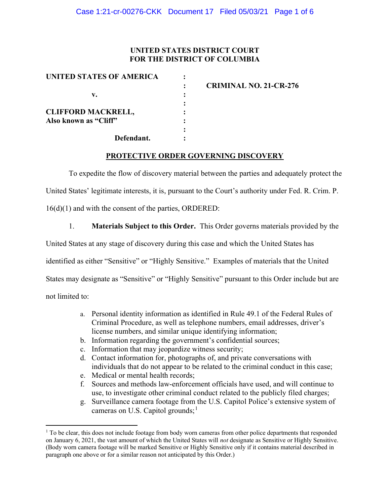# UNITED STATES DISTRICT COURT FOR THE DISTRICT OF COLUMBIA

| UNITED STATES OF AMERICA  |                               |
|---------------------------|-------------------------------|
|                           | <b>CRIMINAL NO. 21-CR-276</b> |
| v.                        |                               |
|                           |                               |
| <b>CLIFFORD MACKRELL,</b> |                               |
| Also known as "Cliff"     |                               |
|                           |                               |
| Defendant.                |                               |

#### PROTECTIVE ORDER GOVERNING DISCOVERY

To expedite the flow of discovery material between the parties and adequately protect the

United States' legitimate interests, it is, pursuant to the Court's authority under Fed. R. Crim. P.

16(d)(1) and with the consent of the parties, ORDERED:

1. Materials Subject to this Order. This Order governs materials provided by the

United States at any stage of discovery during this case and which the United States has

identified as either "Sensitive" or "Highly Sensitive." Examples of materials that the United

States may designate as "Sensitive" or "Highly Sensitive" pursuant to this Order include but are

not limited to:

- a. Personal identity information as identified in Rule 49.1 of the Federal Rules of Criminal Procedure, as well as telephone numbers, email addresses, driver's license numbers, and similar unique identifying information;
- b. Information regarding the government's confidential sources;
- c. Information that may jeopardize witness security;
- d. Contact information for, photographs of, and private conversations with individuals that do not appear to be related to the criminal conduct in this case;
- e. Medical or mental health records;
- f. Sources and methods law-enforcement officials have used, and will continue to use, to investigate other criminal conduct related to the publicly filed charges;
- g. Surveillance camera footage from the U.S. Capitol Police's extensive system of cameras on U.S. Capitol grounds;<sup>1</sup>

<sup>&</sup>lt;sup>1</sup> To be clear, this does not include footage from body worn cameras from other police departments that responded on January 6, 2021, the vast amount of which the United States will not designate as Sensitive or Highly Sensitive. (Body worn camera footage will be marked Sensitive or Highly Sensitive only if it contains material described in paragraph one above or for a similar reason not anticipated by this Order.)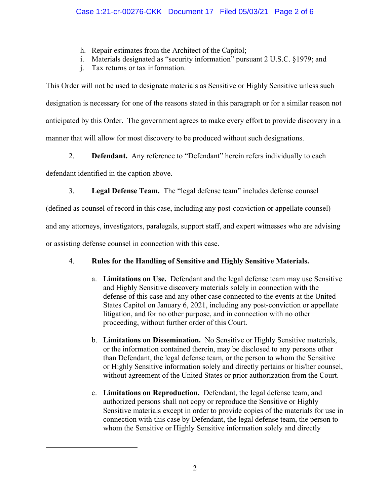- h. Repair estimates from the Architect of the Capitol;
- i. Materials designated as "security information" pursuant 2 U.S.C. §1979; and
- j. Tax returns or tax information.

This Order will not be used to designate materials as Sensitive or Highly Sensitive unless such designation is necessary for one of the reasons stated in this paragraph or for a similar reason not anticipated by this Order. The government agrees to make every effort to provide discovery in a manner that will allow for most discovery to be produced without such designations.

2. **Defendant.** Any reference to "Defendant" herein refers individually to each

defendant identified in the caption above.

3. Legal Defense Team. The "legal defense team" includes defense counsel

(defined as counsel of record in this case, including any post-conviction or appellate counsel)

and any attorneys, investigators, paralegals, support staff, and expert witnesses who are advising

or assisting defense counsel in connection with this case.

# 4. Rules for the Handling of Sensitive and Highly Sensitive Materials.

- a. Limitations on Use. Defendant and the legal defense team may use Sensitive and Highly Sensitive discovery materials solely in connection with the defense of this case and any other case connected to the events at the United States Capitol on January 6, 2021, including any post-conviction or appellate litigation, and for no other purpose, and in connection with no other proceeding, without further order of this Court.
- b. Limitations on Dissemination. No Sensitive or Highly Sensitive materials, or the information contained therein, may be disclosed to any persons other than Defendant, the legal defense team, or the person to whom the Sensitive or Highly Sensitive information solely and directly pertains or his/her counsel, without agreement of the United States or prior authorization from the Court.
- c. Limitations on Reproduction. Defendant, the legal defense team, and authorized persons shall not copy or reproduce the Sensitive or Highly Sensitive materials except in order to provide copies of the materials for use in connection with this case by Defendant, the legal defense team, the person to whom the Sensitive or Highly Sensitive information solely and directly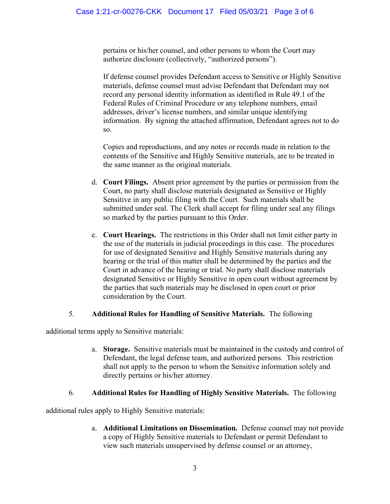pertains or his/her counsel, and other persons to whom the Court may authorize disclosure (collectively, "authorized persons").

If defense counsel provides Defendant access to Sensitive or Highly Sensitive materials, defense counsel must advise Defendant that Defendant may not record any personal identity information as identified in Rule 49.1 of the Federal Rules of Criminal Procedure or any telephone numbers, email addresses, driver's license numbers, and similar unique identifying information. By signing the attached affirmation, Defendant agrees not to do so.

Copies and reproductions, and any notes or records made in relation to the contents of the Sensitive and Highly Sensitive materials, are to be treated in the same manner as the original materials.

- d. Court Filings. Absent prior agreement by the parties or permission from the Court, no party shall disclose materials designated as Sensitive or Highly Sensitive in any public filing with the Court. Such materials shall be submitted under seal. The Clerk shall accept for filing under seal any filings so marked by the parties pursuant to this Order.
- e. Court Hearings. The restrictions in this Order shall not limit either party in the use of the materials in judicial proceedings in this case. The procedures for use of designated Sensitive and Highly Sensitive materials during any hearing or the trial of this matter shall be determined by the parties and the Court in advance of the hearing or trial. No party shall disclose materials designated Sensitive or Highly Sensitive in open court without agreement by the parties that such materials may be disclosed in open court or prior consideration by the Court.

# 5. Additional Rules for Handling of Sensitive Materials. The following

additional terms apply to Sensitive materials:

a. Storage. Sensitive materials must be maintained in the custody and control of Defendant, the legal defense team, and authorized persons. This restriction shall not apply to the person to whom the Sensitive information solely and directly pertains or his/her attorney.

# 6. Additional Rules for Handling of Highly Sensitive Materials. The following

additional rules apply to Highly Sensitive materials:

a. Additional Limitations on Dissemination. Defense counsel may not provide a copy of Highly Sensitive materials to Defendant or permit Defendant to view such materials unsupervised by defense counsel or an attorney,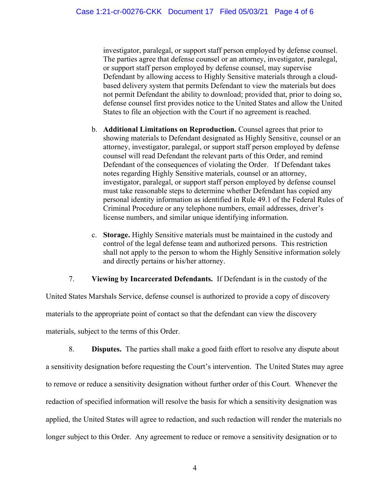investigator, paralegal, or support staff person employed by defense counsel. The parties agree that defense counsel or an attorney, investigator, paralegal, or support staff person employed by defense counsel, may supervise Defendant by allowing access to Highly Sensitive materials through a cloudbased delivery system that permits Defendant to view the materials but does not permit Defendant the ability to download; provided that, prior to doing so, defense counsel first provides notice to the United States and allow the United States to file an objection with the Court if no agreement is reached.

- b. Additional Limitations on Reproduction. Counsel agrees that prior to showing materials to Defendant designated as Highly Sensitive, counsel or an attorney, investigator, paralegal, or support staff person employed by defense counsel will read Defendant the relevant parts of this Order, and remind Defendant of the consequences of violating the Order. If Defendant takes notes regarding Highly Sensitive materials, counsel or an attorney, investigator, paralegal, or support staff person employed by defense counsel must take reasonable steps to determine whether Defendant has copied any personal identity information as identified in Rule 49.1 of the Federal Rules of Criminal Procedure or any telephone numbers, email addresses, driver's license numbers, and similar unique identifying information.
- c. Storage. Highly Sensitive materials must be maintained in the custody and control of the legal defense team and authorized persons. This restriction shall not apply to the person to whom the Highly Sensitive information solely and directly pertains or his/her attorney.

7. Viewing by Incarcerated Defendants. If Defendant is in the custody of the

United States Marshals Service, defense counsel is authorized to provide a copy of discovery materials to the appropriate point of contact so that the defendant can view the discovery materials, subject to the terms of this Order.

8. Disputes. The parties shall make a good faith effort to resolve any dispute about a sensitivity designation before requesting the Court's intervention. The United States may agree to remove or reduce a sensitivity designation without further order of this Court. Whenever the redaction of specified information will resolve the basis for which a sensitivity designation was applied, the United States will agree to redaction, and such redaction will render the materials no longer subject to this Order. Any agreement to reduce or remove a sensitivity designation or to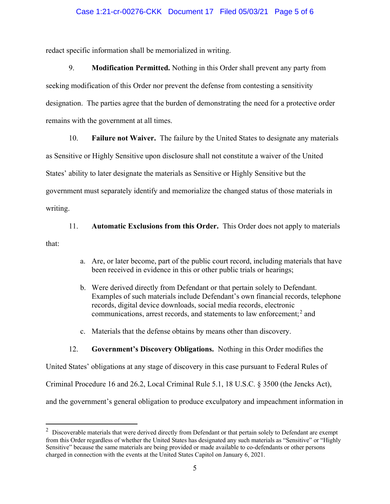#### Case 1:21-cr-00276-CKK Document 17 Filed 05/03/21 Page 5 of 6

redact specific information shall be memorialized in writing.

9. Modification Permitted. Nothing in this Order shall prevent any party from seeking modification of this Order nor prevent the defense from contesting a sensitivity designation. The parties agree that the burden of demonstrating the need for a protective order remains with the government at all times.

10. Failure not Waiver. The failure by the United States to designate any materials

as Sensitive or Highly Sensitive upon disclosure shall not constitute a waiver of the United States' ability to later designate the materials as Sensitive or Highly Sensitive but the

government must separately identify and memorialize the changed status of those materials in

writing.

11. Automatic Exclusions from this Order. This Order does not apply to materials

that:

- a. Are, or later become, part of the public court record, including materials that have been received in evidence in this or other public trials or hearings;
- b. Were derived directly from Defendant or that pertain solely to Defendant. Examples of such materials include Defendant's own financial records, telephone records, digital device downloads, social media records, electronic communications, arrest records, and statements to law enforcement;<sup>2</sup> and
- c. Materials that the defense obtains by means other than discovery.

# 12. Government's Discovery Obligations. Nothing in this Order modifies the

United States' obligations at any stage of discovery in this case pursuant to Federal Rules of Criminal Procedure 16 and 26.2, Local Criminal Rule 5.1, 18 U.S.C. § 3500 (the Jencks Act), and the government's general obligation to produce exculpatory and impeachment information in

 $2$  Discoverable materials that were derived directly from Defendant or that pertain solely to Defendant are exempt from this Order regardless of whether the United States has designated any such materials as "Sensitive" or "Highly Sensitive" because the same materials are being provided or made available to co-defendants or other persons charged in connection with the events at the United States Capitol on January 6, 2021.